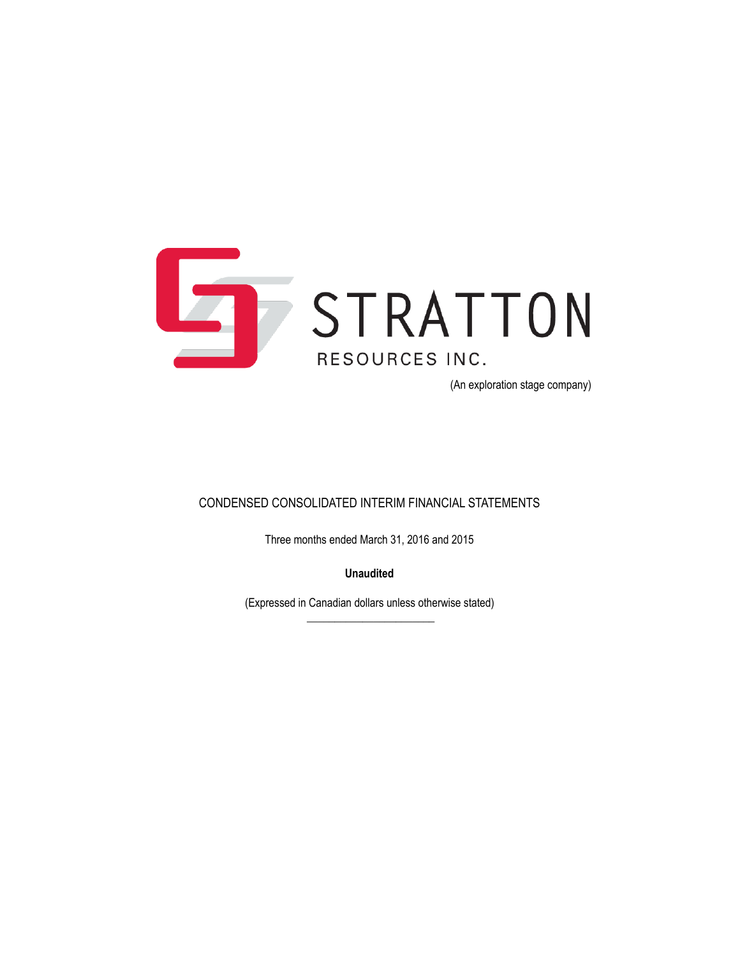

(An exploration stage company)

### CONDENSED CONSOLIDATED INTERIM FINANCIAL STATEMENTS

Three months ended March 31, 2016 and 2015

**Unaudited**

(Expressed in Canadian dollars unless otherwise stated)  $\overline{\phantom{a}}$  , where the contract of the contract of the contract of the contract of the contract of the contract of the contract of the contract of the contract of the contract of the contract of the contract of the contr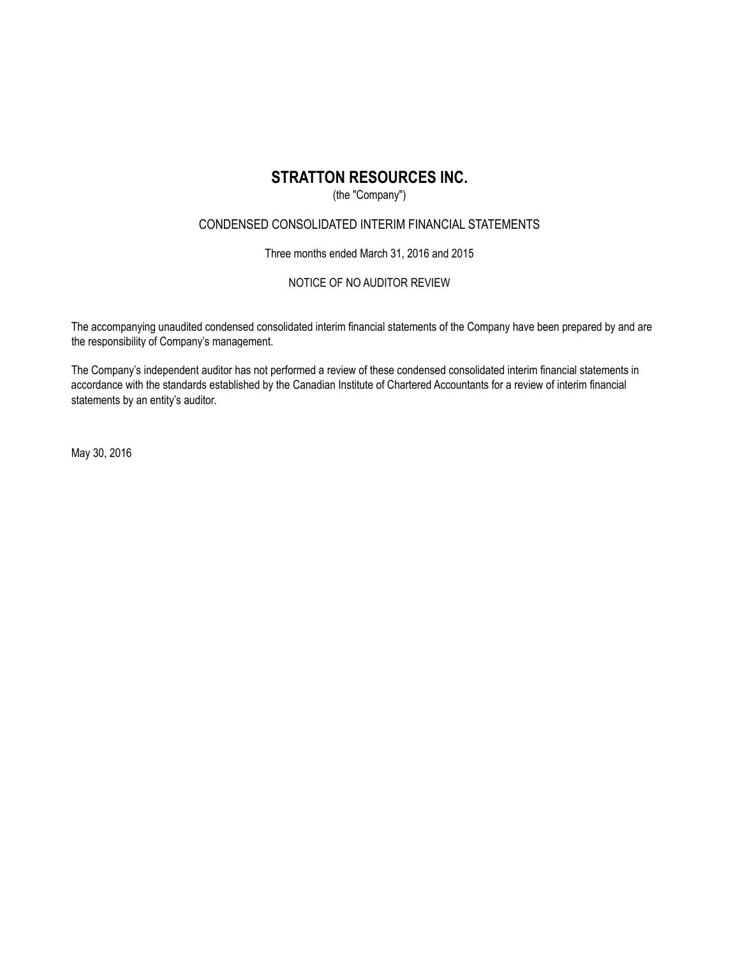### (the "Company")

### CONDENSED CONSOLIDATED INTERIM FINANCIAL STATEMENTS

Three months ended March 31, 2016 and 2015

### NOTICE OF NO AUDITOR REVIEW

The accompanying unaudited condensed consolidated interim financial statements of the Company have been prepared by and are the responsibility of Company's management.

The Company's independent auditor has not performed a review of these condensed consolidated interim financial statements in accordance with the standards established by the Canadian Institute of Chartered Accountants for a review of interim financial statements by an entity's auditor.

May 30, 2016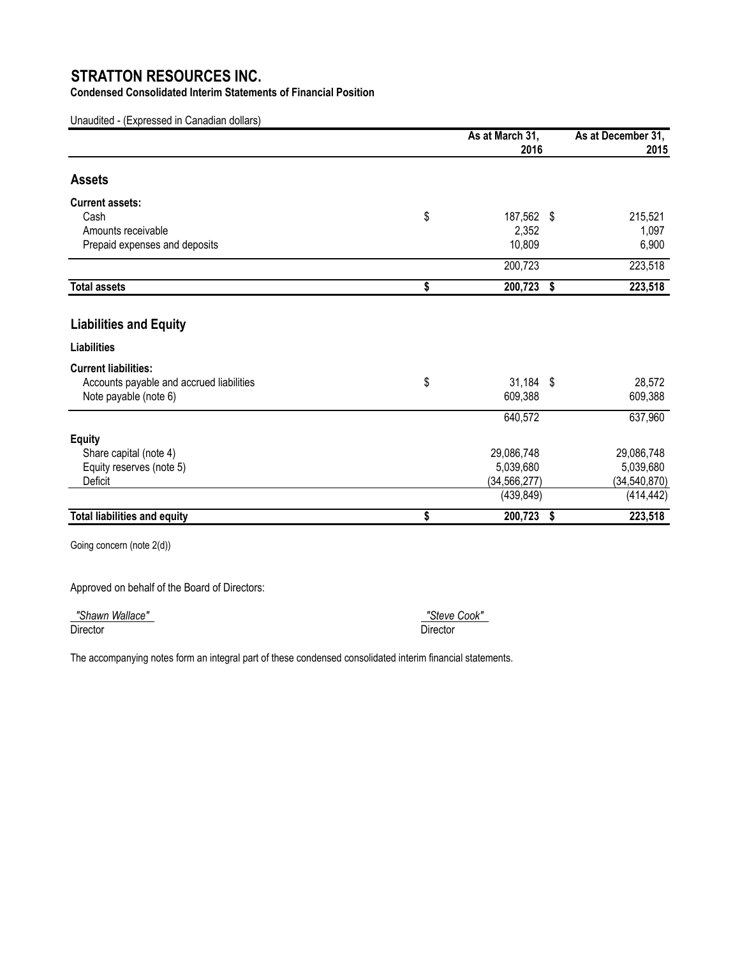**Condensed Consolidated Interim Statements of Financial Position**

Unaudited - (Expressed in Canadian dollars)

|                                          | As at March 31,<br>2016 | As at December 31,<br>2015 |
|------------------------------------------|-------------------------|----------------------------|
| <b>Assets</b>                            |                         |                            |
| <b>Current assets:</b>                   |                         |                            |
| Cash                                     | \$<br>187,562 \$        | 215,521                    |
| Amounts receivable                       | 2,352                   | 1,097                      |
| Prepaid expenses and deposits            | 10,809                  | 6,900                      |
|                                          | 200,723                 | 223,518                    |
| <b>Total assets</b>                      | \$<br>200,723 \$        | 223,518                    |
| <b>Liabilities and Equity</b>            |                         |                            |
| <b>Liabilities</b>                       |                         |                            |
| <b>Current liabilities:</b>              |                         |                            |
| Accounts payable and accrued liabilities | \$<br>$31,184$ \$       | 28,572                     |
| Note payable (note 6)                    | 609,388                 | 609,388                    |
|                                          | 640,572                 | 637,960                    |
| <b>Equity</b>                            |                         |                            |
| Share capital (note 4)                   | 29,086,748              | 29,086,748                 |
| Equity reserves (note 5)                 | 5,039,680               | 5,039,680                  |
| Deficit                                  | (34, 566, 277)          | (34, 540, 870)             |
|                                          | (439, 849)              | (414, 442)                 |
| <b>Total liabilities and equity</b>      | \$<br>200,723           | \$<br>223,518              |

Going concern (note 2(d))

Approved on behalf of the Board of Directors:

 *"Shawn Wallace" "Steve Cook"*  Director Director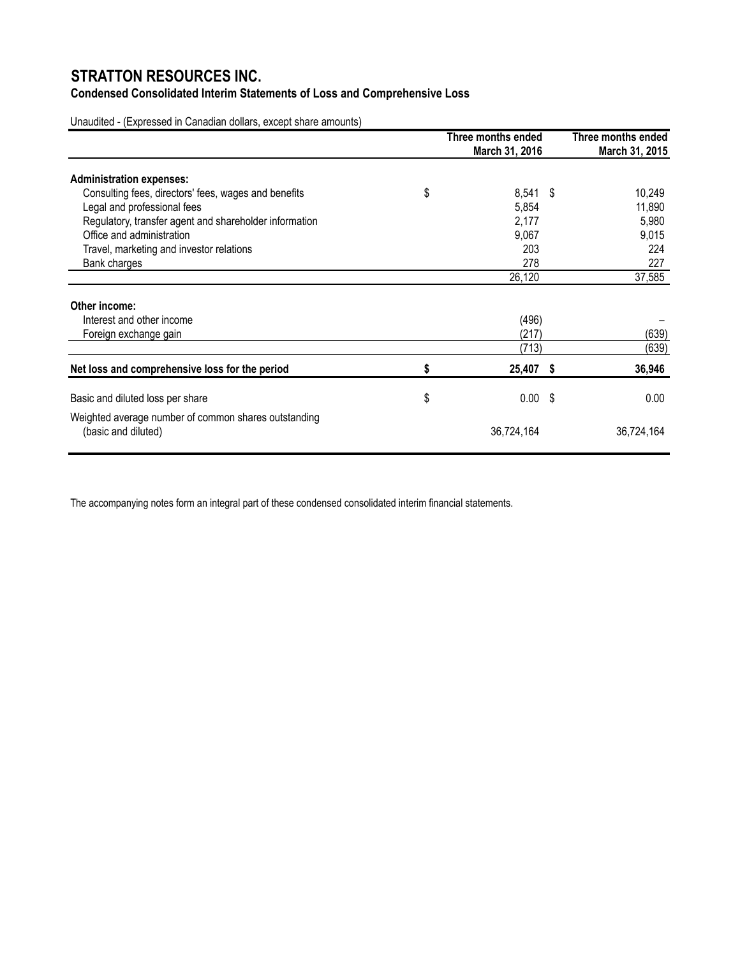## **Condensed Consolidated Interim Statements of Loss and Comprehensive Loss**

Unaudited - (Expressed in Canadian dollars, except share amounts)

|                                                        | Three months ended<br>March 31, 2016 | Three months ended<br>March 31, 2015 |
|--------------------------------------------------------|--------------------------------------|--------------------------------------|
| <b>Administration expenses:</b>                        |                                      |                                      |
| Consulting fees, directors' fees, wages and benefits   | \$<br>8,541 \$                       | 10,249                               |
| Legal and professional fees                            | 5,854                                | 11,890                               |
| Regulatory, transfer agent and shareholder information | 2,177                                | 5,980                                |
| Office and administration                              | 9,067                                | 9,015                                |
| Travel, marketing and investor relations               | 203                                  | 224                                  |
| Bank charges                                           | 278                                  | 227                                  |
|                                                        | 26,120                               | 37,585                               |
| Other income:                                          |                                      |                                      |
| Interest and other income                              | (496)                                |                                      |
| Foreign exchange gain                                  | (217)                                | (639)                                |
|                                                        | (713)                                | (639)                                |
| Net loss and comprehensive loss for the period         | \$<br>25,407 \$                      | 36,946                               |
| Basic and diluted loss per share                       | \$<br>$0.00$ \$                      | 0.00                                 |
| Weighted average number of common shares outstanding   |                                      |                                      |
| (basic and diluted)                                    | 36,724,164                           | 36,724,164                           |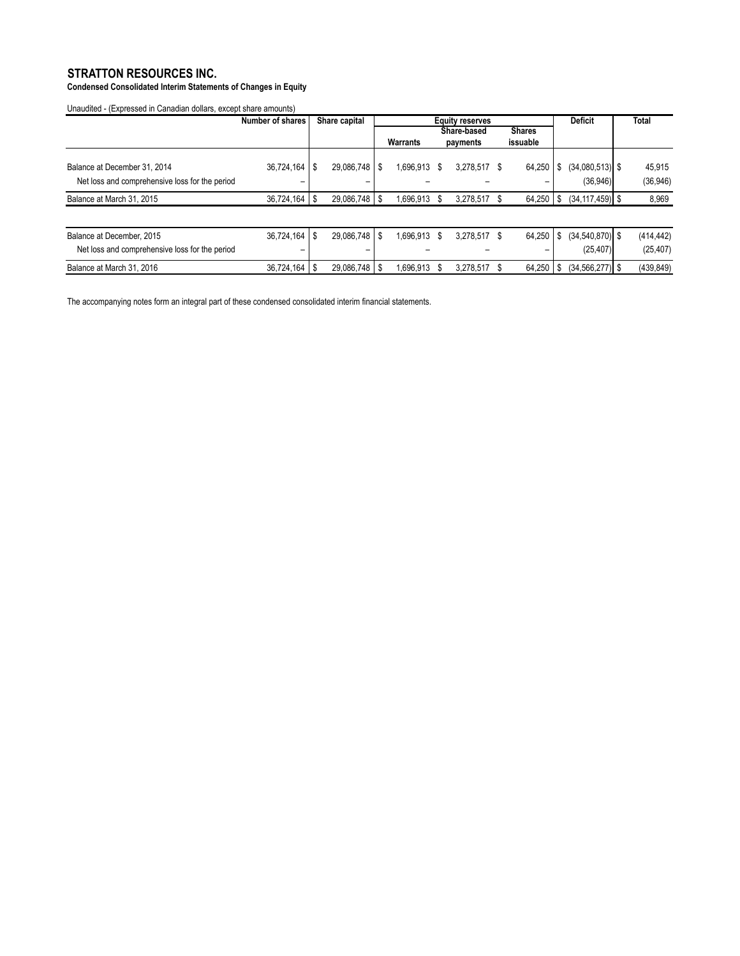**Condensed Consolidated Interim Statements of Changes in Equity**

Unaudited - (Expressed in Canadian dollars, except share amounts)

|                                                | Number of shares    | Share capital          | <b>Equity reserves</b> |   |              |               | <b>Deficit</b> | <b>Total</b>        |            |
|------------------------------------------------|---------------------|------------------------|------------------------|---|--------------|---------------|----------------|---------------------|------------|
|                                                |                     |                        |                        |   | Share-based  | <b>Shares</b> |                |                     |            |
|                                                |                     |                        | Warrants               |   | payments     | issuable      |                |                     |            |
|                                                |                     |                        |                        |   |              |               |                |                     |            |
| Balance at December 31, 2014                   | $36,724,164$ \ \ \$ | $29,086,748$   \$      | 1,696,913              | S | 3,278,517    | 64,250        | S              | $(34,080,513)$ \$   | 45,915     |
| Net loss and comprehensive loss for the period |                     |                        |                        |   |              |               |                | (36, 946)           | (36, 946)  |
| Balance at March 31, 2015                      | $36,724,164$   \$   | $29,086,748$   \$      | 1,696,913              |   | 3,278,517    | 64,250        | - \$           | $(34, 117, 459)$ \$ | 8,969      |
|                                                |                     |                        |                        |   |              |               |                |                     |            |
| Balance at December, 2015                      | 36,724,164          | $29,086,748$   \$<br>S | 1,696,913              | S | 3,278,517 \$ | 64,250        | S              | $(34,540,870)$ \$   | (414, 442) |
| Net loss and comprehensive loss for the period |                     |                        |                        |   |              |               |                | (25, 407)           | (25, 407)  |
| Balance at March 31, 2016                      | $36,724,164$   \$   | $29,086,748$   \$      | 1,696,913              |   | 3.278.517    | 64,250        | - \$           | $(34, 566, 277)$ \$ | (439, 849) |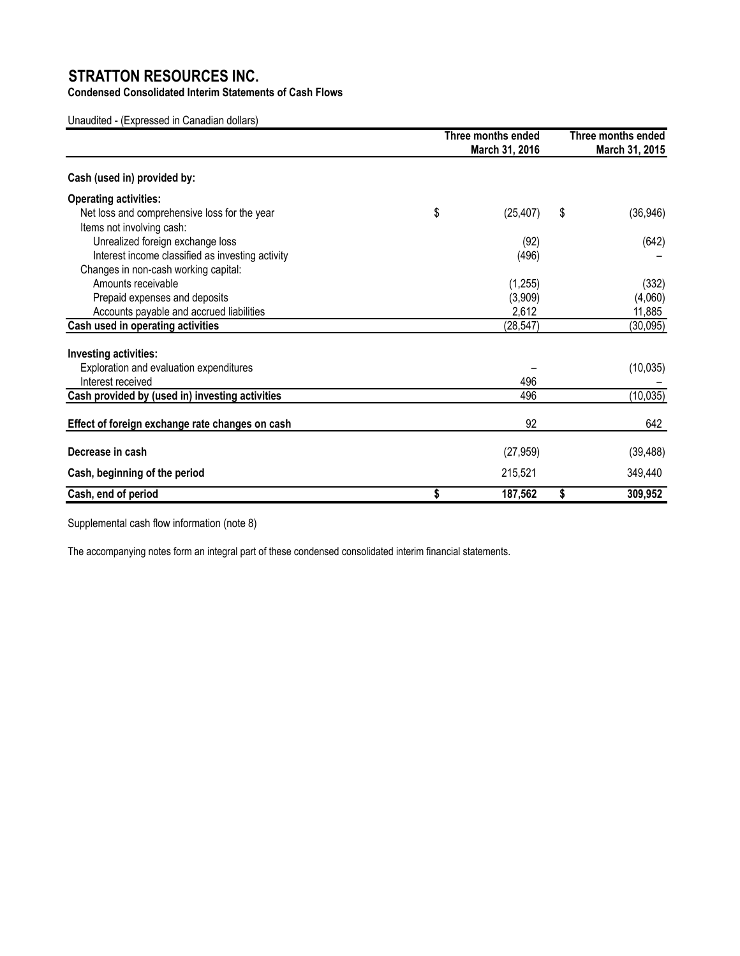**Condensed Consolidated Interim Statements of Cash Flows**

Unaudited - (Expressed in Canadian dollars)

|                                                  | Three months ended<br>March 31, 2016 |    |           |
|--------------------------------------------------|--------------------------------------|----|-----------|
| Cash (used in) provided by:                      |                                      |    |           |
| <b>Operating activities:</b>                     |                                      |    |           |
| Net loss and comprehensive loss for the year     | \$<br>(25, 407)                      | \$ | (36,946)  |
| Items not involving cash:                        |                                      |    |           |
| Unrealized foreign exchange loss                 | (92)                                 |    | (642)     |
| Interest income classified as investing activity | (496)                                |    |           |
| Changes in non-cash working capital:             |                                      |    |           |
| Amounts receivable                               | (1,255)                              |    | (332)     |
| Prepaid expenses and deposits                    | (3,909)                              |    | (4,060)   |
| Accounts payable and accrued liabilities         | 2,612                                |    | 11,885    |
| Cash used in operating activities                | (28, 547)                            |    | (30, 095) |
| <b>Investing activities:</b>                     |                                      |    |           |
| Exploration and evaluation expenditures          |                                      |    | (10, 035) |
| Interest received                                | 496                                  |    |           |
| Cash provided by (used in) investing activities  | 496                                  |    | (10, 035) |
| Effect of foreign exchange rate changes on cash  | 92                                   |    | 642       |
| Decrease in cash                                 | (27, 959)                            |    | (39, 488) |
| Cash, beginning of the period                    | 215,521                              |    | 349,440   |
| Cash, end of period                              | \$<br>187,562                        | \$ | 309,952   |

Supplemental cash flow information (note 8)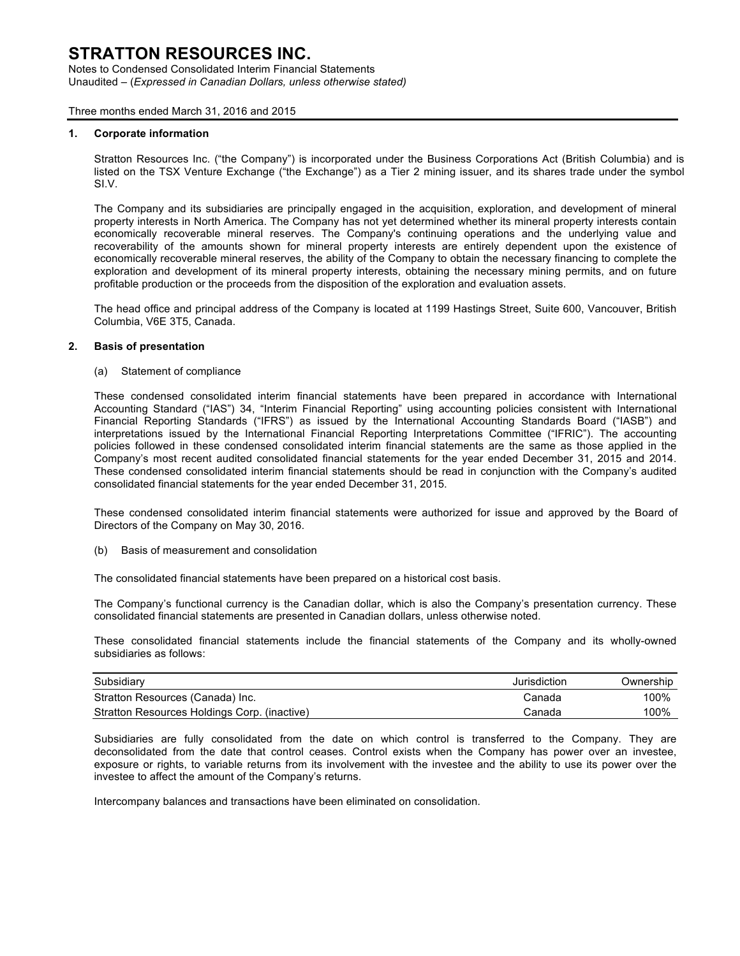Notes to Condensed Consolidated Interim Financial Statements Unaudited – (*Expressed in Canadian Dollars, unless otherwise stated)*

Three months ended March 31, 2016 and 2015

#### **1. Corporate information**

Stratton Resources Inc. ("the Company") is incorporated under the Business Corporations Act (British Columbia) and is listed on the TSX Venture Exchange ("the Exchange") as a Tier 2 mining issuer, and its shares trade under the symbol SI.V.

The Company and its subsidiaries are principally engaged in the acquisition, exploration, and development of mineral property interests in North America. The Company has not yet determined whether its mineral property interests contain economically recoverable mineral reserves. The Company's continuing operations and the underlying value and recoverability of the amounts shown for mineral property interests are entirely dependent upon the existence of economically recoverable mineral reserves, the ability of the Company to obtain the necessary financing to complete the exploration and development of its mineral property interests, obtaining the necessary mining permits, and on future profitable production or the proceeds from the disposition of the exploration and evaluation assets.

The head office and principal address of the Company is located at 1199 Hastings Street, Suite 600, Vancouver, British Columbia, V6E 3T5, Canada.

#### **2. Basis of presentation**

(a) Statement of compliance

These condensed consolidated interim financial statements have been prepared in accordance with International Accounting Standard ("IAS") 34, "Interim Financial Reporting" using accounting policies consistent with International Financial Reporting Standards ("IFRS") as issued by the International Accounting Standards Board ("IASB") and interpretations issued by the International Financial Reporting Interpretations Committee ("IFRIC"). The accounting policies followed in these condensed consolidated interim financial statements are the same as those applied in the Company's most recent audited consolidated financial statements for the year ended December 31, 2015 and 2014. These condensed consolidated interim financial statements should be read in conjunction with the Company's audited consolidated financial statements for the year ended December 31, 2015.

These condensed consolidated interim financial statements were authorized for issue and approved by the Board of Directors of the Company on May 30, 2016.

(b) Basis of measurement and consolidation

The consolidated financial statements have been prepared on a historical cost basis.

The Company's functional currency is the Canadian dollar, which is also the Company's presentation currency. These consolidated financial statements are presented in Canadian dollars, unless otherwise noted.

These consolidated financial statements include the financial statements of the Company and its wholly-owned subsidiaries as follows:

| Subsidiary                                   | Jurisdiction | Ownership |
|----------------------------------------------|--------------|-----------|
| Stratton Resources (Canada) Inc.             | Canada       | 100%      |
| Stratton Resources Holdings Corp. (inactive) | Canada       | 100%      |

Subsidiaries are fully consolidated from the date on which control is transferred to the Company. They are deconsolidated from the date that control ceases. Control exists when the Company has power over an investee, exposure or rights, to variable returns from its involvement with the investee and the ability to use its power over the investee to affect the amount of the Company's returns.

Intercompany balances and transactions have been eliminated on consolidation.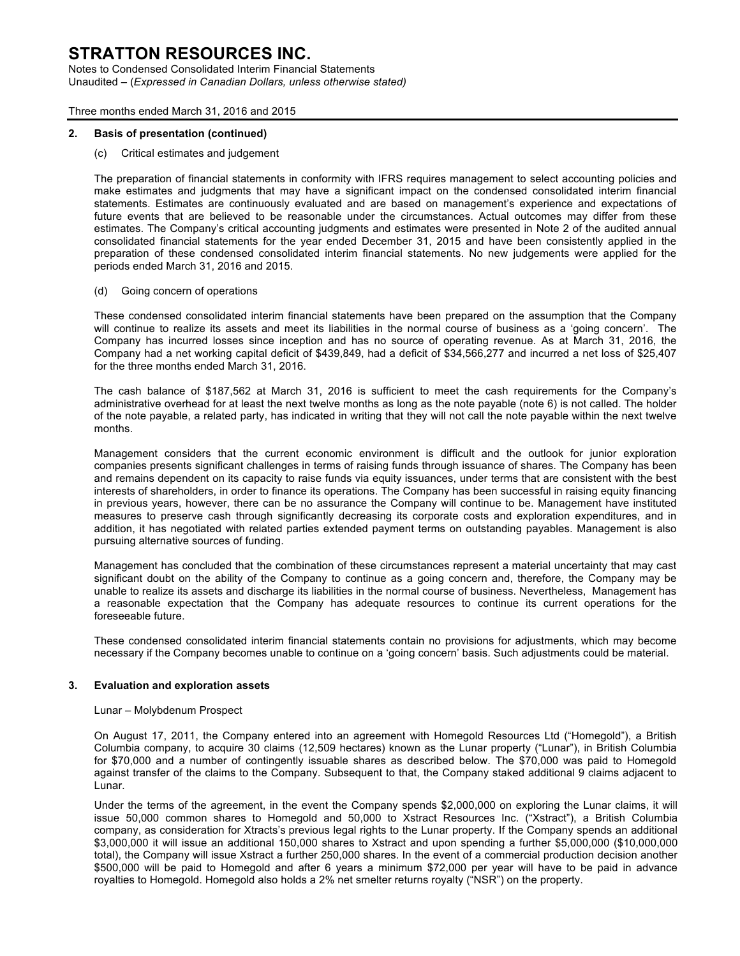Notes to Condensed Consolidated Interim Financial Statements Unaudited – (*Expressed in Canadian Dollars, unless otherwise stated)*

Three months ended March 31, 2016 and 2015

#### **2. Basis of presentation (continued)**

(c) Critical estimates and judgement

The preparation of financial statements in conformity with IFRS requires management to select accounting policies and make estimates and judgments that may have a significant impact on the condensed consolidated interim financial statements. Estimates are continuously evaluated and are based on management's experience and expectations of future events that are believed to be reasonable under the circumstances. Actual outcomes may differ from these estimates. The Company's critical accounting judgments and estimates were presented in Note 2 of the audited annual consolidated financial statements for the year ended December 31, 2015 and have been consistently applied in the preparation of these condensed consolidated interim financial statements. No new judgements were applied for the periods ended March 31, 2016 and 2015.

#### (d) Going concern of operations

These condensed consolidated interim financial statements have been prepared on the assumption that the Company will continue to realize its assets and meet its liabilities in the normal course of business as a 'going concern'. The Company has incurred losses since inception and has no source of operating revenue. As at March 31, 2016, the Company had a net working capital deficit of \$439,849, had a deficit of \$34,566,277 and incurred a net loss of \$25,407 for the three months ended March 31, 2016.

The cash balance of \$187,562 at March 31, 2016 is sufficient to meet the cash requirements for the Company's administrative overhead for at least the next twelve months as long as the note payable (note 6) is not called. The holder of the note payable, a related party, has indicated in writing that they will not call the note payable within the next twelve months.

Management considers that the current economic environment is difficult and the outlook for junior exploration companies presents significant challenges in terms of raising funds through issuance of shares. The Company has been and remains dependent on its capacity to raise funds via equity issuances, under terms that are consistent with the best interests of shareholders, in order to finance its operations. The Company has been successful in raising equity financing in previous years, however, there can be no assurance the Company will continue to be. Management have instituted measures to preserve cash through significantly decreasing its corporate costs and exploration expenditures, and in addition, it has negotiated with related parties extended payment terms on outstanding payables. Management is also pursuing alternative sources of funding.

Management has concluded that the combination of these circumstances represent a material uncertainty that may cast significant doubt on the ability of the Company to continue as a going concern and, therefore, the Company may be unable to realize its assets and discharge its liabilities in the normal course of business. Nevertheless, Management has a reasonable expectation that the Company has adequate resources to continue its current operations for the foreseeable future.

These condensed consolidated interim financial statements contain no provisions for adjustments, which may become necessary if the Company becomes unable to continue on a 'going concern' basis. Such adjustments could be material.

#### **3. Evaluation and exploration assets**

#### Lunar – Molybdenum Prospect

On August 17, 2011, the Company entered into an agreement with Homegold Resources Ltd ("Homegold"), a British Columbia company, to acquire 30 claims (12,509 hectares) known as the Lunar property ("Lunar"), in British Columbia for \$70,000 and a number of contingently issuable shares as described below. The \$70,000 was paid to Homegold against transfer of the claims to the Company. Subsequent to that, the Company staked additional 9 claims adjacent to Lunar.

Under the terms of the agreement, in the event the Company spends \$2,000,000 on exploring the Lunar claims, it will issue 50,000 common shares to Homegold and 50,000 to Xstract Resources Inc. ("Xstract"), a British Columbia company, as consideration for Xtracts's previous legal rights to the Lunar property. If the Company spends an additional \$3,000,000 it will issue an additional 150,000 shares to Xstract and upon spending a further \$5,000,000 (\$10,000,000 total), the Company will issue Xstract a further 250,000 shares. In the event of a commercial production decision another \$500,000 will be paid to Homegold and after 6 years a minimum \$72,000 per year will have to be paid in advance royalties to Homegold. Homegold also holds a 2% net smelter returns royalty ("NSR") on the property.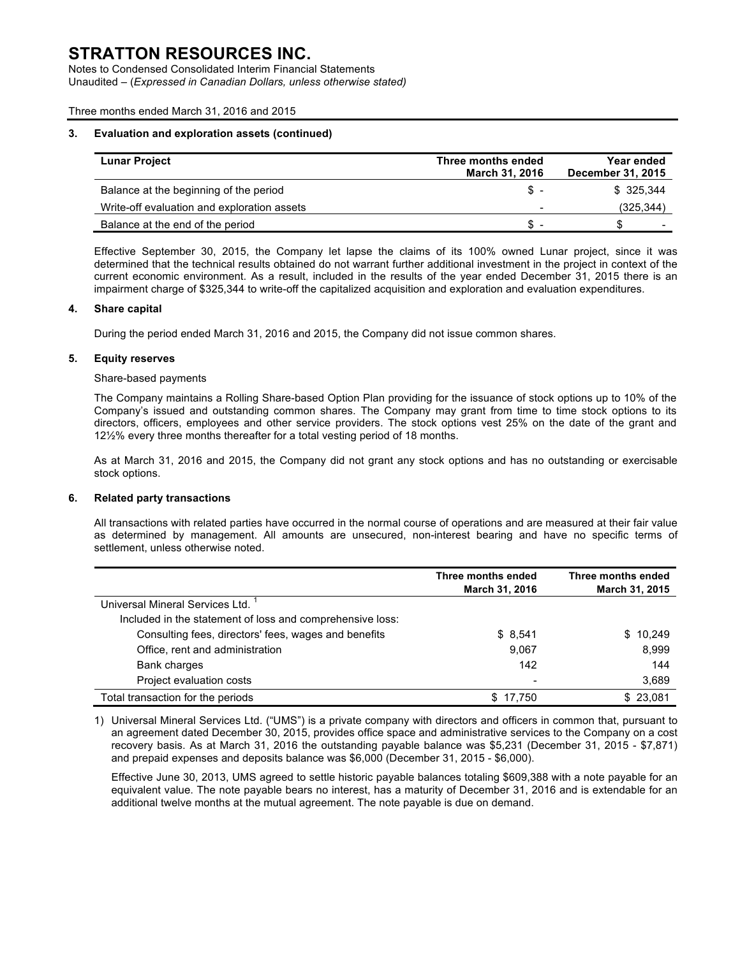Notes to Condensed Consolidated Interim Financial Statements Unaudited – (*Expressed in Canadian Dollars, unless otherwise stated)*

#### Three months ended March 31, 2016 and 2015

#### **3. Evaluation and exploration assets (continued)**

| <b>Lunar Project</b>                        | Three months ended<br><b>March 31, 2016</b> | Year ended<br>December 31, 2015 |
|---------------------------------------------|---------------------------------------------|---------------------------------|
| Balance at the beginning of the period      | \$-                                         | \$ 325.344                      |
| Write-off evaluation and exploration assets | -                                           | (325, 344)                      |
| Balance at the end of the period            | \$.                                         | S<br>-                          |

Effective September 30, 2015, the Company let lapse the claims of its 100% owned Lunar project, since it was determined that the technical results obtained do not warrant further additional investment in the project in context of the current economic environment. As a result, included in the results of the year ended December 31, 2015 there is an impairment charge of \$325,344 to write-off the capitalized acquisition and exploration and evaluation expenditures.

#### **4. Share capital**

During the period ended March 31, 2016 and 2015, the Company did not issue common shares.

#### **5. Equity reserves**

#### Share-based payments

The Company maintains a Rolling Share-based Option Plan providing for the issuance of stock options up to 10% of the Company's issued and outstanding common shares. The Company may grant from time to time stock options to its directors, officers, employees and other service providers. The stock options vest 25% on the date of the grant and 12½% every three months thereafter for a total vesting period of 18 months.

As at March 31, 2016 and 2015, the Company did not grant any stock options and has no outstanding or exercisable stock options.

#### **6. Related party transactions**

All transactions with related parties have occurred in the normal course of operations and are measured at their fair value as determined by management. All amounts are unsecured, non-interest bearing and have no specific terms of settlement, unless otherwise noted.

|                                                           | Three months ended<br><b>March 31, 2016</b> | Three months ended<br>March 31, 2015 |
|-----------------------------------------------------------|---------------------------------------------|--------------------------------------|
| Universal Mineral Services Ltd.                           |                                             |                                      |
| Included in the statement of loss and comprehensive loss: |                                             |                                      |
| Consulting fees, directors' fees, wages and benefits      | \$8,541                                     | 10,249<br>S.                         |
| Office, rent and administration                           | 9,067                                       | 8,999                                |
| Bank charges                                              | 142                                         | 144                                  |
| Project evaluation costs                                  | -                                           | 3,689                                |
| Total transaction for the periods                         | 17.750<br>S.                                | \$23.081                             |

1) Universal Mineral Services Ltd. ("UMS") is a private company with directors and officers in common that, pursuant to an agreement dated December 30, 2015, provides office space and administrative services to the Company on a cost recovery basis. As at March 31, 2016 the outstanding payable balance was \$5,231 (December 31, 2015 - \$7,871) and prepaid expenses and deposits balance was \$6,000 (December 31, 2015 - \$6,000).

Effective June 30, 2013, UMS agreed to settle historic payable balances totaling \$609,388 with a note payable for an equivalent value. The note payable bears no interest, has a maturity of December 31, 2016 and is extendable for an additional twelve months at the mutual agreement. The note payable is due on demand.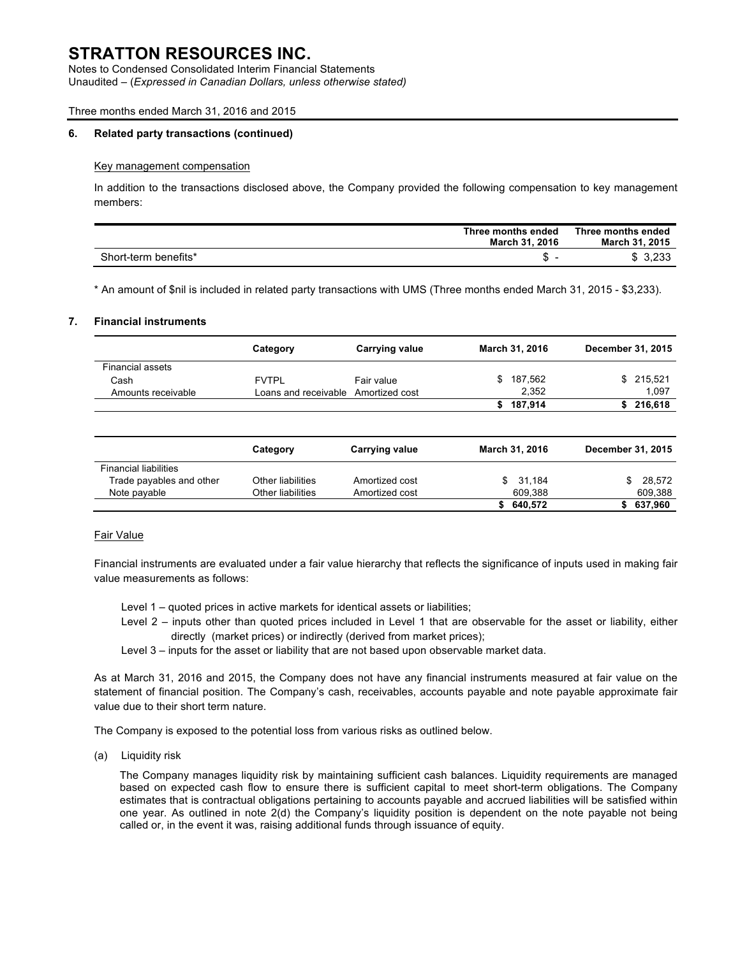Notes to Condensed Consolidated Interim Financial Statements Unaudited – (*Expressed in Canadian Dollars, unless otherwise stated)*

#### Three months ended March 31, 2016 and 2015

#### **6. Related party transactions (continued)**

#### Key management compensation

In addition to the transactions disclosed above, the Company provided the following compensation to key management members:

|                      | Three months ended<br>March 31, 2016 | Three months ended<br>March 31, 2015 |
|----------------------|--------------------------------------|--------------------------------------|
| Short-term benefits* | æ.                                   | \$3,233                              |

\* An amount of \$nil is included in related party transactions with UMS (Three months ended March 31, 2015 - \$3,233).

#### **7. Financial instruments**

|                              | Category                            | <b>Carrying value</b> | <b>March 31, 2016</b> | December 31, 2015 |
|------------------------------|-------------------------------------|-----------------------|-----------------------|-------------------|
| <b>Financial assets</b>      |                                     |                       |                       |                   |
| Cash                         | <b>FVTPL</b>                        | Fair value            | \$<br>187,562         | \$215,521         |
| Amounts receivable           | Loans and receivable Amortized cost |                       | 2.352                 | 1,097             |
|                              |                                     |                       | 187,914<br>S.         | \$216,618         |
|                              | Category                            | <b>Carrying value</b> | March 31, 2016        | December 31, 2015 |
| <b>Financial liabilities</b> |                                     |                       |                       |                   |
| Trade payables and other     | Other liabilities                   | Amortized cost        | 31,184<br>\$          | \$<br>28,572      |
| Note payable                 | Other liabilities                   | Amortized cost        | 609,388               | 609,388           |
|                              |                                     |                       | 640,572<br>S.         | 637,960<br>S      |

#### Fair Value

Financial instruments are evaluated under a fair value hierarchy that reflects the significance of inputs used in making fair value measurements as follows:

- Level 1 quoted prices in active markets for identical assets or liabilities;
- Level 2 inputs other than quoted prices included in Level 1 that are observable for the asset or liability, either directly (market prices) or indirectly (derived from market prices);
- Level 3 inputs for the asset or liability that are not based upon observable market data.

As at March 31, 2016 and 2015, the Company does not have any financial instruments measured at fair value on the statement of financial position. The Company's cash, receivables, accounts payable and note payable approximate fair value due to their short term nature.

The Company is exposed to the potential loss from various risks as outlined below.

(a) Liquidity risk

The Company manages liquidity risk by maintaining sufficient cash balances. Liquidity requirements are managed based on expected cash flow to ensure there is sufficient capital to meet short-term obligations. The Company estimates that is contractual obligations pertaining to accounts payable and accrued liabilities will be satisfied within one year. As outlined in note 2(d) the Company's liquidity position is dependent on the note payable not being called or, in the event it was, raising additional funds through issuance of equity.